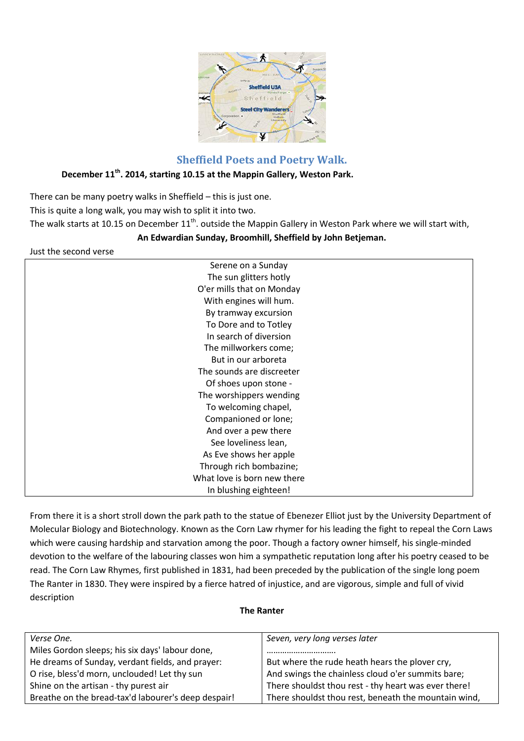

## **Sheffield Poets and Poetry Walk.**

## **December 11th. 2014, starting 10.15 at the Mappin Gallery, Weston Park.**

There can be many poetry walks in Sheffield – this is just one.

This is quite a long walk, you may wish to split it into two.

The walk starts at 10.15 on December 11<sup>th</sup>. outside the Mappin Gallery in Weston Park where we will start with,

## **An Edwardian Sunday, Broomhill, Sheffield by John Betjeman.**

Just the second verse

| Serene on a Sunday          |
|-----------------------------|
| The sun glitters hotly      |
| O'er mills that on Monday   |
| With engines will hum.      |
| By tramway excursion        |
| To Dore and to Totley       |
| In search of diversion      |
| The millworkers come;       |
| But in our arboreta         |
| The sounds are discreeter   |
| Of shoes upon stone -       |
| The worshippers wending     |
| To welcoming chapel,        |
| Companioned or lone;        |
| And over a pew there        |
| See loveliness lean,        |
| As Eve shows her apple      |
| Through rich bombazine;     |
| What love is born new there |
| In blushing eighteen!       |

From there it is a short stroll down the park path to the statue of Ebenezer Elliot just by the University Department of Molecular Biology and Biotechnology. Known as the Corn Law rhymer for his leading the fight to repeal the Corn Laws which were causing hardship and starvation among the poor. Though a factory owner himself, his single-minded devotion to the welfare of the labouring classes won him a sympathetic reputation long after his poetry ceased to be read. The Corn Law Rhymes, first published in 1831, had been preceded by the publication of the single long poem The Ranter in 1830. They were inspired by a fierce hatred of injustice, and are vigorous, simple and full of vivid description

## **The Ranter**

| Verse One.                                          | Seven, very long verses later                        |
|-----------------------------------------------------|------------------------------------------------------|
| Miles Gordon sleeps; his six days' labour done,     |                                                      |
| He dreams of Sunday, verdant fields, and prayer:    | But where the rude heath hears the plover cry,       |
| O rise, bless'd morn, unclouded! Let thy sun        | And swings the chainless cloud o'er summits bare;    |
| Shine on the artisan - thy purest air               | There shouldst thou rest - thy heart was ever there! |
| Breathe on the bread-tax'd labourer's deep despair! | There shouldst thou rest, beneath the mountain wind, |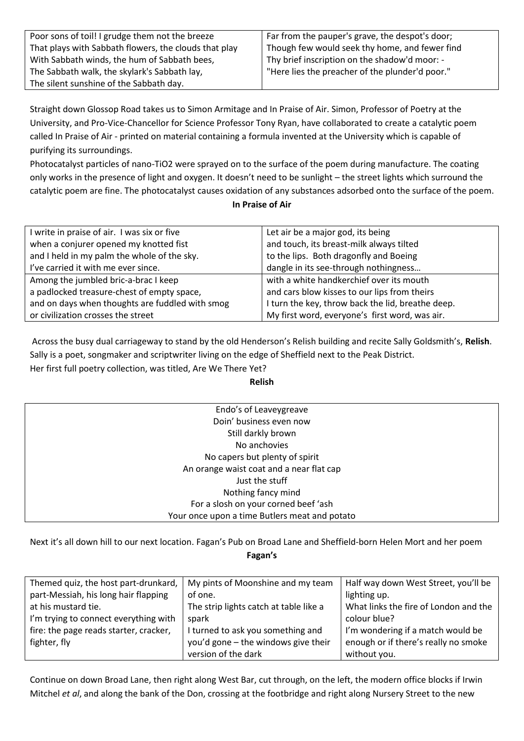Poor sons of toil! I grudge them not the breeze That plays with Sabbath flowers, the clouds that play With Sabbath winds, the hum of Sabbath bees, The Sabbath walk, the skylark's Sabbath lay, The silent sunshine of the Sabbath day.

Far from the pauper's grave, the despot's door; Though few would seek thy home, and fewer find Thy brief inscription on the shadow'd moor: - "Here lies the preacher of the plunder'd poor."

Straight down Glossop Road takes us to Simon Armitage and In Praise of Air. Simon, Professor of Poetry at the University, and Pro-Vice-Chancellor for Science Professor Tony Ryan, have collaborated to create a catalytic poem called In Praise of Air - printed on material containing a formula invented at the University which is capable of purifying its surroundings.

Photocatalyst particles of nano-TiO2 were sprayed on to the surface of the poem during manufacture. The coating only works in the presence of light and oxygen. It doesn't need to be sunlight – the street lights which surround the catalytic poem are fine. The photocatalyst causes oxidation of any substances adsorbed onto the surface of the poem.

## **In Praise of Air**

| I write in praise of air. I was six or five     | Let air be a major god, its being                 |
|-------------------------------------------------|---------------------------------------------------|
| when a conjurer opened my knotted fist          | and touch, its breast-milk always tilted          |
| and I held in my palm the whole of the sky.     | to the lips. Both dragonfly and Boeing            |
| I've carried it with me ever since.             | dangle in its see-through nothingness             |
| Among the jumbled bric-a-brac I keep            | with a white handkerchief over its mouth          |
| a padlocked treasure-chest of empty space,      | and cars blow kisses to our lips from theirs      |
| and on days when thoughts are fuddled with smog | I turn the key, throw back the lid, breathe deep. |
| or civilization crosses the street              | My first word, everyone's first word, was air.    |
|                                                 |                                                   |

Across the busy dual carriageway to stand by the old Henderson's Relish building and recite Sally Goldsmith's, **Relish**. Sally is a poet, songmaker and scriptwriter living on the edge of Sheffield next to the Peak District.

Her first full poetry collection, was titled, Are We There Yet?

## **Relish**

| Endo's of Leaveygreave                        |
|-----------------------------------------------|
| Doin' business even now                       |
| Still darkly brown                            |
| No anchovies                                  |
| No capers but plenty of spirit                |
| An orange waist coat and a near flat cap      |
| Just the stuff                                |
| Nothing fancy mind                            |
| For a slosh on your corned beef 'ash          |
| Your once upon a time Butlers meat and potato |
|                                               |

Next it's all down hill to our next location. Fagan's Pub on Broad Lane and Sheffield-born Helen Mort and her poem **Fagan's**

| Themed quiz, the host part-drunkard,   | My pints of Moonshine and my team      | Half way down West Street, you'll be  |
|----------------------------------------|----------------------------------------|---------------------------------------|
| part-Messiah, his long hair flapping   | of one.                                | lighting up.                          |
| at his mustard tie.                    | The strip lights catch at table like a | What links the fire of London and the |
| I'm trying to connect everything with  | spark                                  | colour blue?                          |
| fire: the page reads starter, cracker, | I turned to ask you something and      | I'm wondering if a match would be     |
| fighter, fly                           | you'd gone - the windows give their    | enough or if there's really no smoke  |
|                                        | version of the dark                    | without you.                          |

Continue on down Broad Lane, then right along West Bar, cut through, on the left, the modern office blocks if Irwin Mitchel *et al*, and along the bank of the Don, crossing at the footbridge and right along Nursery Street to the new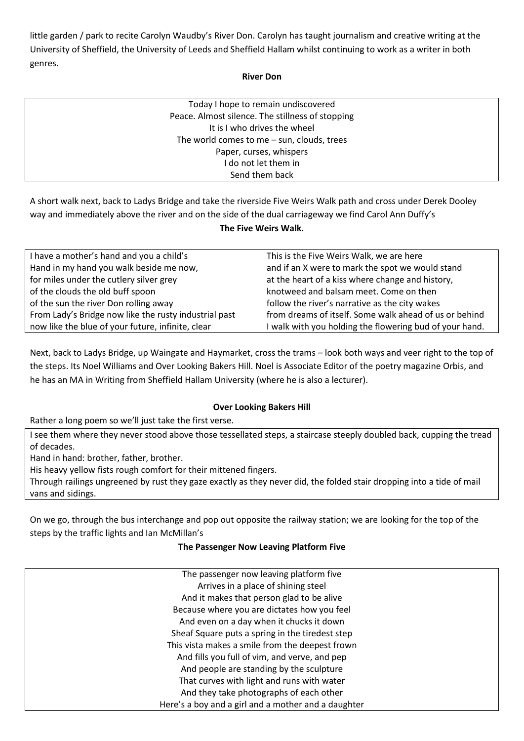little garden / park to recite Carolyn Waudby's River Don. Carolyn has taught journalism and creative writing at the University of Sheffield, the University of Leeds and Sheffield Hallam whilst continuing to work as a writer in both genres.

#### **River Don**

| Today I hope to remain undiscovered              |  |
|--------------------------------------------------|--|
| Peace. Almost silence. The stillness of stopping |  |
| It is I who drives the wheel                     |  |
| The world comes to me $-$ sun, clouds, trees     |  |
| Paper, curses, whispers                          |  |
| I do not let them in                             |  |
| Send them back                                   |  |

A short walk next, back to Ladys Bridge and take the riverside Five Weirs Walk path and cross under Derek Dooley way and immediately above the river and on the side of the dual carriageway we find Carol Ann Duffy's **The Five Weirs Walk.**

| I have a mother's hand and you a child's              | This is the Five Weirs Walk, we are here                |
|-------------------------------------------------------|---------------------------------------------------------|
| Hand in my hand you walk beside me now,               | and if an X were to mark the spot we would stand        |
| for miles under the cutlery silver grey               | at the heart of a kiss where change and history,        |
| of the clouds the old buff spoon                      | knotweed and balsam meet. Come on then                  |
| of the sun the river Don rolling away                 | follow the river's narrative as the city wakes          |
| From Lady's Bridge now like the rusty industrial past | from dreams of itself. Some walk ahead of us or behind  |
| now like the blue of your future, infinite, clear     | I walk with you holding the flowering bud of your hand. |

Next, back to Ladys Bridge, up Waingate and Haymarket, cross the trams – look both ways and veer right to the top of the steps. Its Noel Williams and Over Looking Bakers Hill. Noel is Associate Editor of the poetry magazine Orbis, and he has an MA in Writing from Sheffield Hallam University (where he is also a lecturer).

## **Over Looking Bakers Hill**

Rather a long poem so we'll just take the first verse.

I see them where they never stood above those tessellated steps, a staircase steeply doubled back, cupping the tread of decades.

Hand in hand: brother, father, brother.

His heavy yellow fists rough comfort for their mittened fingers.

Through railings ungreened by rust they gaze exactly as they never did, the folded stair dropping into a tide of mail vans and sidings.

On we go, through the bus interchange and pop out opposite the railway station; we are looking for the top of the steps by the traffic lights and Ian McMillan's

## **The Passenger Now Leaving Platform Five**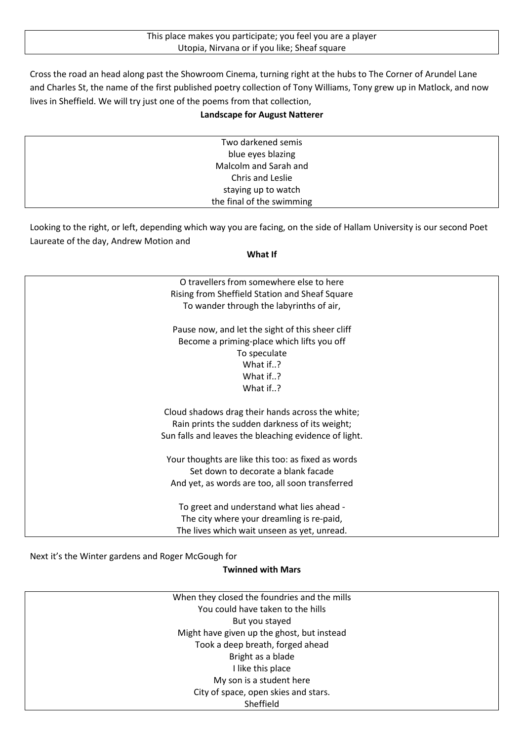This place makes you participate; you feel you are a player Utopia, Nirvana or if you like; Sheaf square

Cross the road an head along past the Showroom Cinema, turning right at the hubs to The Corner of Arundel Lane and Charles St, the name of the first published poetry collection of Tony Williams, Tony grew up in Matlock, and now lives in Sheffield. We will try just one of the poems from that collection,

#### **Landscape for August Natterer**

| Two darkened semis        |
|---------------------------|
| blue eyes blazing         |
| Malcolm and Sarah and     |
| Chris and Leslie          |
| staying up to watch       |
| the final of the swimming |
|                           |

Looking to the right, or left, depending which way you are facing, on the side of Hallam University is our second Poet Laureate of the day, Andrew Motion and

#### **What If**

| O travellers from somewhere else to here              |
|-------------------------------------------------------|
| Rising from Sheffield Station and Sheaf Square        |
| To wander through the labyrinths of air,              |
| Pause now, and let the sight of this sheer cliff      |
| Become a priming-place which lifts you off            |
| To speculate                                          |
| What if?                                              |
| What if?                                              |
| What if?                                              |
| Cloud shadows drag their hands across the white;      |
| Rain prints the sudden darkness of its weight;        |
| Sun falls and leaves the bleaching evidence of light. |
| Your thoughts are like this too: as fixed as words    |
| Set down to decorate a blank facade                   |
| And yet, as words are too, all soon transferred       |
| To greet and understand what lies ahead -             |
| The city where your dreamling is re-paid,             |
| The lives which wait unseen as yet, unread.           |
|                                                       |

Next it's the Winter gardens and Roger McGough for

#### **Twinned with Mars**

When they closed the foundries and the mills You could have taken to the hills But you stayed Might have given up the ghost, but instead Took a deep breath, forged ahead Bright as a blade I like this place My son is a student here City of space, open skies and stars. Sheffield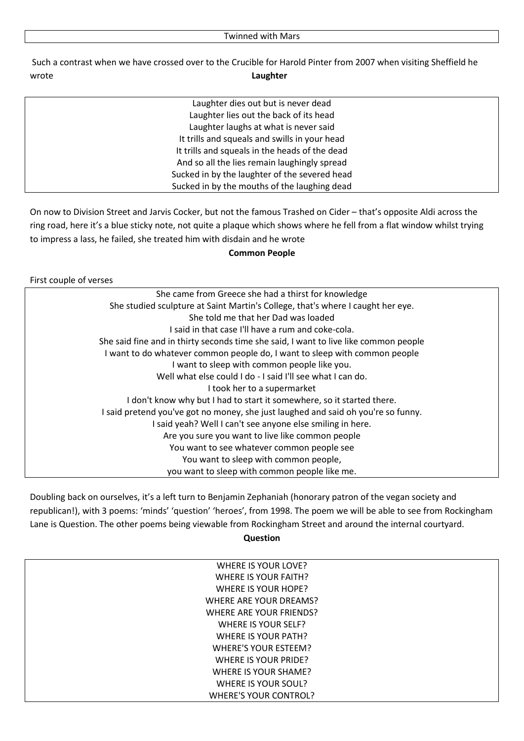Such a contrast when we have crossed over to the Crucible for Harold Pinter from 2007 when visiting Sheffield he wrote **Laughter** 

| Laughter dies out but is never dead            |  |
|------------------------------------------------|--|
| Laughter lies out the back of its head         |  |
| Laughter laughs at what is never said          |  |
| It trills and squeals and swills in your head  |  |
| It trills and squeals in the heads of the dead |  |
| And so all the lies remain laughingly spread   |  |
| Sucked in by the laughter of the severed head  |  |
| Sucked in by the mouths of the laughing dead   |  |

On now to Division Street and Jarvis Cocker, but not the famous Trashed on Cider – that's opposite Aldi across the ring road, here it's a blue sticky note, not quite a plaque which shows where he fell from a flat window whilst trying to impress a lass, he failed, she treated him with disdain and he wrote

### **Common People**

First couple of verses

| She came from Greece she had a thirst for knowledge                                  |
|--------------------------------------------------------------------------------------|
| She studied sculpture at Saint Martin's College, that's where I caught her eye.      |
| She told me that her Dad was loaded                                                  |
| I said in that case I'll have a rum and coke-cola.                                   |
| She said fine and in thirty seconds time she said, I want to live like common people |
| I want to do whatever common people do, I want to sleep with common people           |
| I want to sleep with common people like you.                                         |
| Well what else could I do - I said I'll see what I can do.                           |
| I took her to a supermarket                                                          |
| I don't know why but I had to start it somewhere, so it started there.               |
| I said pretend you've got no money, she just laughed and said oh you're so funny.    |
| I said yeah? Well I can't see anyone else smiling in here.                           |
| Are you sure you want to live like common people                                     |
| You want to see whatever common people see                                           |
| You want to sleep with common people,                                                |
| you want to sleep with common people like me.                                        |

Doubling back on ourselves, it's a left turn to Benjamin Zephaniah (honorary patron of the vegan society and republican!), with 3 poems: 'minds' 'question' 'heroes', from 1998. The poem we will be able to see from Rockingham Lane is Question. The other poems being viewable from Rockingham Street and around the internal courtyard.

#### **Question**

| WHERE IS YOUR LOVE?          |
|------------------------------|
| WHERE IS YOUR FAITH?         |
| WHERE IS YOUR HOPE?          |
| WHERE ARE YOUR DREAMS?       |
| WHERE ARE YOUR FRIENDS?      |
| WHERE IS YOUR SELF?          |
| WHERE IS YOUR PATH?          |
| WHERE'S YOUR ESTEEM?         |
| WHERE IS YOUR PRIDE?         |
| WHERE IS YOUR SHAME?         |
| WHERE IS YOUR SOUL?          |
| <b>WHERE'S YOUR CONTROL?</b> |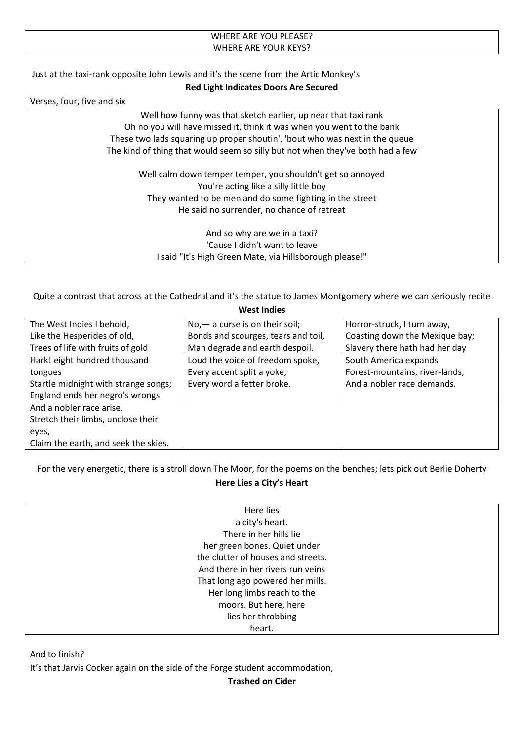#### WHERE ARE YOU PLEASE? WHERE ARE YOUR KEYS?

## Just at the taxi-rank opposite John Lewis and it's the scene from the Artic Monkey's

#### **Red Light Indicates Doors Are Secured**

Verses, four, five and six

Well how funny was that sketch earlier, up near that taxi rank Oh no you will have missed it, think it was when you went to the bank These two lads squaring up proper shoutin', 'bout who was next in the queue The kind of thing that would seem so silly but not when they've both had a few

> Well calm down temper temper, you shouldn't get so annoyed You're acting like a silly little boy They wanted to be men and do some fighting in the street He said no surrender, no chance of retreat

And so why are we in a taxi? 'Cause I didn't want to leave I said "It's High Green Mate, via Hillsborough please!"

Quite a contrast that across at the Cathedral and it's the statue to James Montgomery where we can seriously recite

| <b>West Indies</b>                   |                                                |                                |
|--------------------------------------|------------------------------------------------|--------------------------------|
| The West Indies I behold,            | $No$ , $\rightarrow$ a curse is on their soil; | Horror-struck, I turn away,    |
| Like the Hesperides of old,          | Bonds and scourges, tears and toil,            | Coasting down the Mexique bay; |
| Trees of life with fruits of gold    | Man degrade and earth despoil.                 | Slavery there hath had her day |
| Hark! eight hundred thousand         | Loud the voice of freedom spoke,               | South America expands          |
| tongues                              | Every accent split a yoke,                     | Forest-mountains, river-lands, |
| Startle midnight with strange songs; | Every word a fetter broke.                     | And a nobler race demands.     |
| England ends her negro's wrongs.     |                                                |                                |
| And a nobler race arise.             |                                                |                                |
| Stretch their limbs, unclose their   |                                                |                                |
| eyes,                                |                                                |                                |
| Claim the earth, and seek the skies. |                                                |                                |

For the very energetic, there is a stroll down The Moor, for the poems on the benches; lets pick out Berlie Doherty **Here Lies a City's Heart**

| Here lies                          |  |  |
|------------------------------------|--|--|
| a city's heart.                    |  |  |
| There in her hills lie             |  |  |
| her green bones. Quiet under       |  |  |
| the clutter of houses and streets. |  |  |
| And there in her rivers run veins  |  |  |
| That long ago powered her mills.   |  |  |
| Her long limbs reach to the        |  |  |
| moors. But here, here              |  |  |
| lies her throbbing                 |  |  |
| heart.                             |  |  |

And to finish?

It's that Jarvis Cocker again on the side of the Forge student accommodation,

**Trashed on Cider**